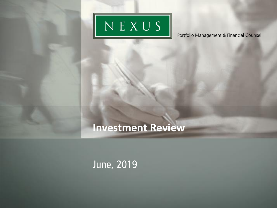

# **Investment Review**

### June, 2019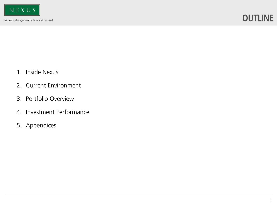### **OUTLINE**

- 1. Inside Nexus
- 2. Current Environment
- 3. Portfolio Overview
- 4. Investment Performance
- 5. Appendices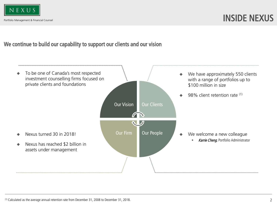

#### We continue to build our capability to support our clients and our vision

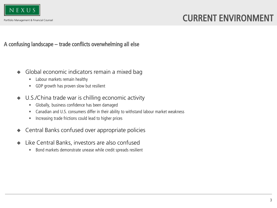

#### A confusing landscape – trade conflicts overwhelming all else

- Global economic indicators remain a mixed bag
	- Labour markets remain healthy
	- GDP growth has proven slow but resilient
- U.S./China trade war is chilling economic activity
	- Globally, business confidence has been damaged
	- Canadian and U.S. consumers differ in their ability to withstand labour market weakness
	- Increasing trade frictions could lead to higher prices
- Central Banks confused over appropriate policies
- Like Central Banks, investors are also confused
	- Bond markets demonstrate unease while credit spreads resilient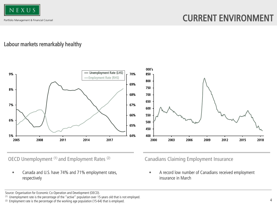

#### Labour markets remarkably healthy



OECD Unemployment (1) and Employment Rates (2)

• Canada and U.S. have 74% and 71% employment rates, respectively

Canadians Claiming Employment Insurance

• A record low number of Canadians received employment insurance in March

(1) Unemployment rate is the percentage of the "active" population over 15-years old that is not employed.

Source: Organisation for Economic Co-Operation and Development (OECD).

<sup>(2)</sup> Employment rate is the percentage of the working age population (15-64) that is employed.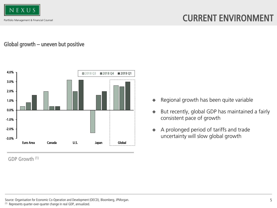

### CURRENT ENVIRONMENT

#### Global growth – uneven but positive



GDP Growth (1)

- ◆ Regional growth has been quite variable
- ◆ But recently, global GDP has maintained a fairly consistent pace of growth
- ◆ A prolonged period of tariffs and trade uncertainty will slow global growth

Source: Organisation for Economic Co-Operation and Development (OECD), Bloomberg, JPMorgan.

<sup>(1)</sup> Represents quarter-over-quarter change in real GDP, annualized.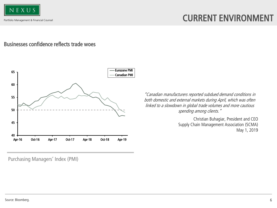

#### Businesses confidence reflects trade woes



"Canadian manufacturers reported subdued demand conditions in both domestic and external markets during April, which was often linked to a slowdown in global trade volumes and more cautious spending among clients."

> Christian Buhagiar, President and CEO Supply Chain Management Association (SCMA) May 1, 2019

Purchasing Managers' Index (PMI)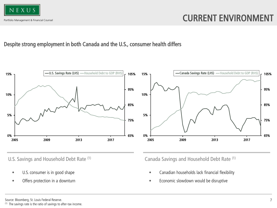

#### Despite strong employment in both Canada and the U.S., consumer health differs



- U.S. consumer is in good shape
- Offers protection in a downturn

U.S. Savings and Household Debt Rate (1) Canada Savings and Household Debt Rate (1)

- Canadian households lack financial flexibility
- Economic slowdown would be disruptive

#### Source: Bloomberg, St. Louis Federal Reserve.

(1) The savings rate is the ratio of savings to after-tax income.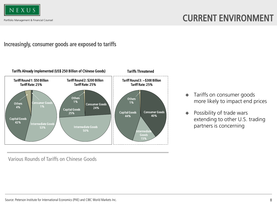

#### Increasingly, consumer goods are exposed to tariffs



Various Rounds of Tariffs on Chinese Goods

- ◆ Tariffs on consumer goods more likely to impact end prices
- ◆ Possibility of trade wars extending to other U.S. trading partners is concerning

Source: Peterson Institute for International Economics (PIIE) and CIBC World Markets Inc.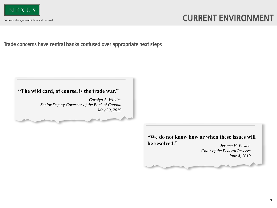

### CURRENT ENVIRONMENT

Trade concerns have central banks confused over appropriate next steps

#### **"The wild card, of course, is the trade war."**

*Carolyn A. Wilkins Senior Deputy Governor of the Bank of Canada May 30, 2019*

#### *Jerome H. Powell* **"We do not know how or when these issues will be resolved."**

*Chair of the Federal Reserve June 4, 2019*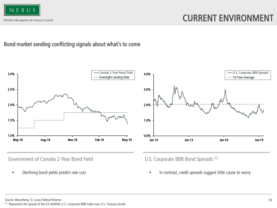

#### Bond market sending conflicting signals about what's to come



Government of Canada 2-Year Bond Yield U.S. Corporate BBB Bond Spreads (1)



• Declining bond yields predict rate cuts **• in contrast, credit spreads suggest little cause to worry** 

Source: Bloomberg, St. Louis Federal Reserve.

(1) Represents the spread of the ICE BofAML U.S. Corporate BBB Index over U.S. Treasury bonds.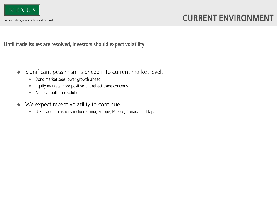

Until trade issues are resolved, investors should expect volatility

- Significant pessimism is priced into current market levels
	- Bond market sees lower growth ahead
	- Equity markets more positive but reflect trade concerns
	- No clear path to resolution
- We expect recent volatility to continue
	- U.S. trade discussions include China, Europe, Mexico, Canada and Japan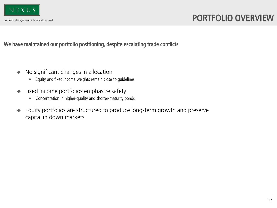

### PORTFOLIO OVERVIEW

We have maintained our portfolio positioning, despite escalating trade conflicts

- No significant changes in allocation
	- Equity and fixed income weights remain close to guidelines
- Fixed income portfolios emphasize safety
	- Concentration in higher-quality and shorter-maturity bonds
- Equity portfolios are structured to produce long-term growth and preserve capital in down markets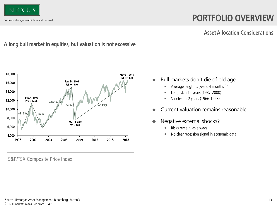

# PORTFOLIO OVERVIEW

#### Asset Allocation Considerations

### A long bull market in equities, but valuation is not excessive



S&P/TSX Composite Price Index

- ◆ Bull markets don't die of old age
	- Average length: 5 years, 4 months (1)
	- Longest:  $+12$  years (1987-2000)
	- Shortest:  $+2$  years (1966-1968)
- Current valuation remains reasonable
- Negative external shocks?
	- Risks remain, as always
	- No clear recession signal in economic data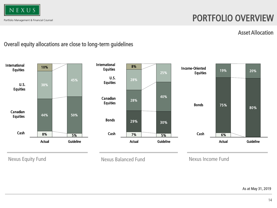

### PORTFOLIO OVERVIEW

#### Asset Allocation

#### Overall equity allocations are close to long-term guidelines

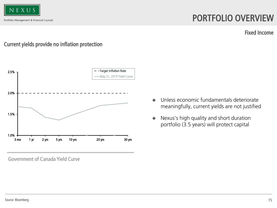

### PORTFOLIO OVERVIEW

Fixed Income

#### Current yields provide no inflation protection



Government of Canada Yield Curve

- ◆ Unless economic fundamentals deteriorate meaningfully, current yields are not justified
- ◆ Nexus's high quality and short duration portfolio (3.5 years) will protect capital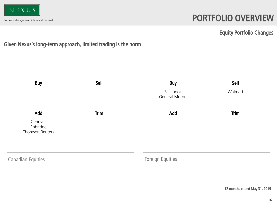

# PORTFOLIO OVERVIEW

#### Equity Portfolio Changes

### Given Nexus's long-term approach, limited trading is the norm

| <b>Buy</b>                             | Sell        | <b>Buy</b>                        | Sell        |
|----------------------------------------|-------------|-----------------------------------|-------------|
|                                        |             | Facebook<br><b>General Motors</b> | Walmart     |
| Add                                    | <b>Trim</b> | Add                               | <b>Trim</b> |
| Cenovus<br>Enbridge<br>Thomson Reuters |             |                                   |             |
| <b>Canadian Equities</b>               |             | <b>Foreign Equities</b>           |             |

12 months ended May 31, 2019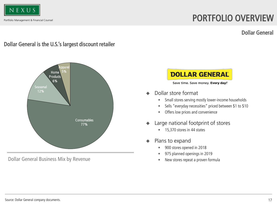

### PORTFOLIO OVERVIEW

Dollar General

#### Dollar General is the U.S.'s largest discount retailer



Dollar General Business Mix by Revenue



Save time. Save money. Every day!®

- Dollar store format
	- Small stores serving mostly lower-income households
	- Sells "everyday necessities" priced between \$1 to \$10
	- Offers low prices and convenience
- Large national footprint of stores
	- 15,370 stores in 44 states
- Plans to expand
	- 900 stores opened in 2018
	- 975 planned openings in 2019
	- New stores repeat a proven formula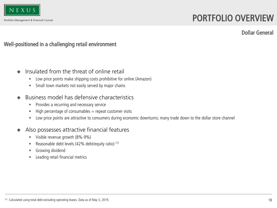

### PORTFOLIO OVERVIEW

Dollar General

#### Well-positioned in a challenging retail environment

- Insulated from the threat of online retail
	- Low price points make shipping costs prohibitive for online (Amazon)
	- Small town markets not easily served by major chains
- Business model has defensive characteristics
	- Provides a recurring and necessary service
	- High percentage of consumables  $=$  repeat customer visits
	- Low price points are attractive to consumers during economic downturns; many trade down to the dollar store channel
- Also possesses attractive financial features
	- Visible revenue growth (8%-9%)
	- Reasonable debt levels (42% debt/equity ratio) (1)
	- Growing dividend
	- Leading retail financial metrics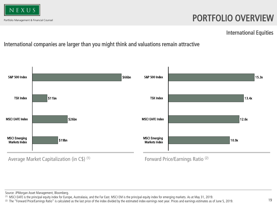

### PORTFOLIO OVERVIEW

International Equities

### International companies are larger than you might think and valuations remain attractive



Source: JPMorgan Asset Management, Bloomberg.

(1) MSCI EAFE is the principal equity index for Europe, Australasia, and the Far East. MSCI EM is the principal equity index for emerging markets. As at May 31, 2019.

(2) The "Forward Price/Earnings Ratio" is calculated as the last price of the index divided by the estimated index earnings next year. Prices and earnings estimates as of June 5, 2019.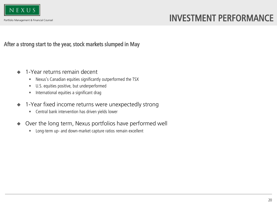

After a strong start to the year, stock markets slumped in May

- 1-Year returns remain decent
	- Nexus's Canadian equities significantly outperformed the TSX
	- U.S. equities positive, but underperformed
	- International equities a significant drag
- 1-Year fixed income returns were unexpectedly strong
	- Central bank intervention has driven yields lower
- Over the long term, Nexus portfolios have performed well
	- Long-term up- and down-market capture ratios remain excellent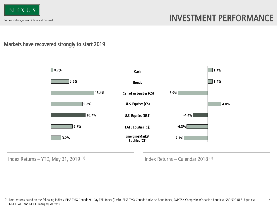

### Markets have recovered strongly to start 2019



Index Returns – YTD, May 31, 2019  $(1)$  Index Returns – Calendar 2018  $(1)$ 

<sup>21</sup> <sup>(1)</sup> Total returns based on the following indices: FTSE TMX Canada 91 Day TBill Index (Cash), FTSE TMX Canada Universe Bond Index, S&P/TSX Composite (Canadian Equities), S&P 500 (U.S. Equities), MSCI EAFE and MSCI Emerging Markets.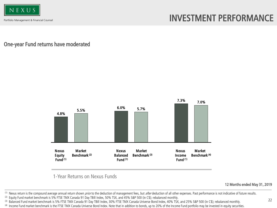

One-year Fund returns have moderated



1-Year Returns on Nexus Funds

12 Months ended May 31, 2019

(1) Nexus return is the compound average annual return shown prior to the deduction of management fees, but after deduction of all other expenses. Past performance is not indicative of future results. (2) Equity Fund market benchmark is 5% FTSE TMX Canada 91 Day TBill Index, 50% TSX, and 45% S&P 500 (in C\$); rebalanced monthly.

(3) Balanced Fund market benchmark is 5% FTSE TMX Canada 91 Day TBill Index, 30% FTSE TMX Canada Universe Bond Index, 40% TSX, and 25% S&P 500 (in C\$); rebalanced monthly.

<sup>(4)</sup> Income Fund market benchmark is the FTSE TMX Canada Universe Bond Index. Note that in addition to bonds, up to 20% of the Income Fund portfolio may be invested in equity securities.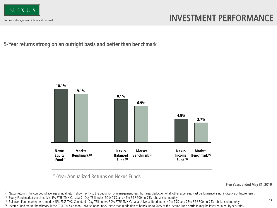

5-Year returns strong on an outright basis and better than benchmark



5-Year Annualized Returns on Nexus Funds

Five Years ended May 31, 2019

(1) Nexus return is the compound average annual return shown prior to the deduction of management fees, but after deduction of all other expenses. Past performance is not indicative of future results. (2) Equity Fund market benchmark is 5% FTSE TMX Canada 91 Day TBill Index, 50% TSX, and 45% S&P 500 (in C\$); rebalanced monthly.

(3) Balanced Fund market benchmark is 5% FTSE TMX Canada 91 Day TBill Index, 30% FTSE TMX Canada Universe Bond Index, 40% TSX, and 25% S&P 500 (in C\$); rebalanced monthly.

<sup>(4)</sup> Income Fund market benchmark is the FTSE TMX Canada Universe Bond Index. Note that in addition to bonds, up to 20% of the Income Fund portfolio may be invested in equity securities.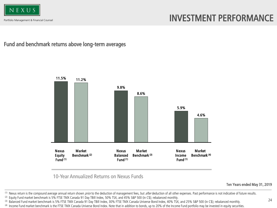

Fund and benchmark returns above long-term averages



10-Year Annualized Returns on Nexus Funds

Ten Years ended May 31, 2019

(1) Nexus return is the compound average annual return shown prior to the deduction of management fees, but after deduction of all other expenses. Past performance is not indicative of future results. (2) Equity Fund market benchmark is 5% FTSE TMX Canada 91 Day TBill Index, 50% TSX, and 45% S&P 500 (in C\$); rebalanced monthly.

(3) Balanced Fund market benchmark is 5% FTSE TMX Canada 91 Day TBill Index, 30% FTSE TMX Canada Universe Bond Index, 40% TSX, and 25% S&P 500 (in C\$); rebalanced monthly.

<sup>(4)</sup> Income Fund market benchmark is the FTSE TMX Canada Universe Bond Index. Note that in addition to bonds, up to 20% of the Income Fund portfolio may be invested in equity securities.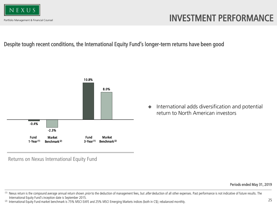

#### Despite tough recent conditions, the International Equity Fund's longer-term returns have been good



◆ International adds diversification and potential return to North American investors

Returns on Nexus International Equity Fund

Periods ended May 31, 2019

(2) International Equity Fund market benchmark is 75% MSCI EAFE and 25% MSCI Emerging Markets indices (both in C\$); rebalanced monthly.

<sup>&</sup>lt;sup>(1)</sup> Nexus return is the compound average annual return shown *prior* to the deduction of management fees, but after deduction of all other expenses. Past performance is not indicative of future results. The International Equity Fund's inception date is September 2015.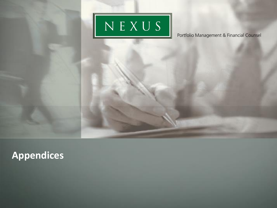

**Appendices**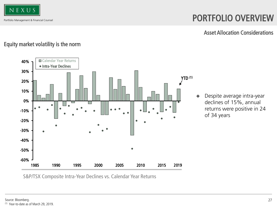

### PORTFOLIO OVERVIEW

Asset Allocation Considerations

#### Equity market volatility is the norm



S&P/TSX Composite Intra-Year Declines vs. Calendar Year Returns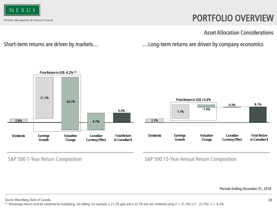

### PORTFOLIO OVERVIEW

Asset Allocation Considerations

Short-term returns are driven by markets… …Long-term returns are driven by company economics





S&P 500 1-Year Return Composition S&P 500 15-Year Annual Return Composition

Periods Ending December 31, 2018

Source: Bloomberg, Bank of Canada.

<sup>(1)</sup> Percentage returns must be combined by multiplying, not adding. For example, a 21.2% gain and a 22.7% loss are combined using  $(1 + 21.2%) \times (1 - 22.7%) -1 = -6.2%$ .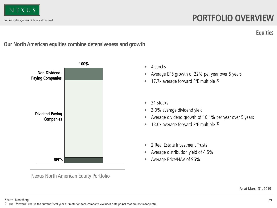

### PORTFOLIO OVERVIEW

**Equities** 

#### Our North American equities combine defensiveness and growth



Nexus North American Equity Portfolio

- 4 stocks
- Average EPS growth of 22% per year over 5 years
- $\bullet$  17.7x average forward P/E multiple  $(1)$
- 31 stocks
- 3.0% average dividend yield
- Average dividend growth of 10.1% per year over 5 years
- 13.0x average forward  $P/E$  multiple  $(1)$
- 2 Real Estate Investment Trusts
- Average distribution yield of 4.5%
- Average Price/NAV of 96%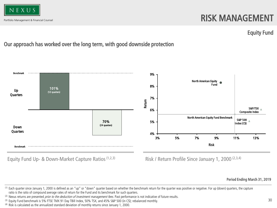

### RISK MANAGEMENT

#### Equity Fund

#### Our approach has worked over the long term, with good downside protection



Equity Fund Up- & Down-Market Capture Ratios  $(1,2,3)$  Risk / Return Profile Since January 1, 2000  $(2,3,4)$ 

Period Ending March 31, 2019

<sup>(1)</sup> Each quarter since January 1, 2000 is defined as an "up" or "down" quarter based on whether the benchmark return for the quarter was positive or negative. For up (down) quarters, the capture ratio is the ratio of compound average rates of return for the Fund and its benchmark for such quarters.

<sup>(2)</sup> Nexus returns are presented *prior to the deduction of investment management fees*. Past performance is not indicative of future results.

<sup>(3)</sup> Equity Fund benchmark is 5% FTSE TMX 91 Day TBill Index, 50% TSX, and 45% S&P 500 (in C\$); rebalanced monthly.

<sup>(4)</sup> Risk is calculated as the annualized standard deviation of monthly returns since January 1, 2000.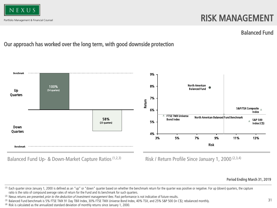

### RISK MANAGEMENT

#### Balanced Fund

### Our approach has worked over the long term, with good downside protection



Balanced Fund Up- & Down-Market Capture Ratios<sup>(1,2,3)</sup> Risk / Return Profile Since January 1, 2000<sup>(2,3,4)</sup>

Period Ending March 31, 2019

<sup>(1)</sup> Each quarter since January 1, 2000 is defined as an "up" or "down" quarter based on whether the benchmark return for the quarter was positive or negative. For up (down) quarters, the capture ratio is the ratio of compound average rates of return for the Fund and its benchmark for such quarters.

<sup>(2)</sup> Nexus returns are presented *prior to the deduction of investment management fees*. Past performance is not indicative of future results.

<sup>(3)</sup> Balanced Fund benchmark is 5% FTSE TMX 91 Day TBill Index, 30% FTSE TMX Universe Bond Index, 40% TSX, and 25% S&P 500 (in C\$); rebalanced monthly.

<sup>(4)</sup> Risk is calculated as the annualized standard deviation of monthly returns since January 1, 2000.